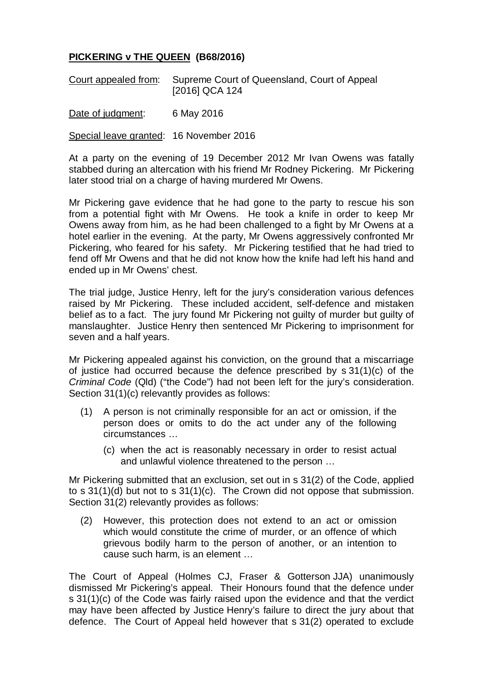## **PICKERING v THE QUEEN (B68/2016)**

|  | Court appealed from: Supreme Court of Queensland, Court of Appeal |
|--|-------------------------------------------------------------------|
|  | [2016] QCA 124                                                    |

Date of judgment: 6 May 2016

Special leave granted: 16 November 2016

At a party on the evening of 19 December 2012 Mr Ivan Owens was fatally stabbed during an altercation with his friend Mr Rodney Pickering. Mr Pickering later stood trial on a charge of having murdered Mr Owens.

Mr Pickering gave evidence that he had gone to the party to rescue his son from a potential fight with Mr Owens. He took a knife in order to keep Mr Owens away from him, as he had been challenged to a fight by Mr Owens at a hotel earlier in the evening. At the party, Mr Owens aggressively confronted Mr Pickering, who feared for his safety. Mr Pickering testified that he had tried to fend off Mr Owens and that he did not know how the knife had left his hand and ended up in Mr Owens' chest.

The trial judge, Justice Henry, left for the jury's consideration various defences raised by Mr Pickering. These included accident, self-defence and mistaken belief as to a fact. The jury found Mr Pickering not guilty of murder but guilty of manslaughter. Justice Henry then sentenced Mr Pickering to imprisonment for seven and a half years.

Mr Pickering appealed against his conviction, on the ground that a miscarriage of justice had occurred because the defence prescribed by s 31(1)(c) of the *Criminal Code* (Qld) ("the Code") had not been left for the jury's consideration. Section 31(1)(c) relevantly provides as follows:

- (1) A person is not criminally responsible for an act or omission, if the person does or omits to do the act under any of the following circumstances …
	- (c) when the act is reasonably necessary in order to resist actual and unlawful violence threatened to the person …

Mr Pickering submitted that an exclusion, set out in s 31(2) of the Code, applied to s 31(1)(d) but not to s 31(1)(c). The Crown did not oppose that submission. Section 31(2) relevantly provides as follows:

(2) However, this protection does not extend to an act or omission which would constitute the crime of murder, or an offence of which grievous bodily harm to the person of another, or an intention to cause such harm, is an element …

The Court of Appeal (Holmes CJ, Fraser & Gotterson JJA) unanimously dismissed Mr Pickering's appeal. Their Honours found that the defence under s 31(1)(c) of the Code was fairly raised upon the evidence and that the verdict may have been affected by Justice Henry's failure to direct the jury about that defence. The Court of Appeal held however that s 31(2) operated to exclude